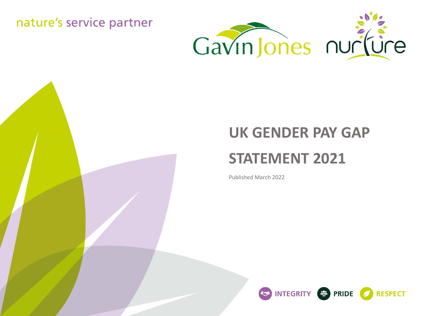nature's service partner



# **UK GENDER PAY GAP STATEMENT 2021**

Published March 2022

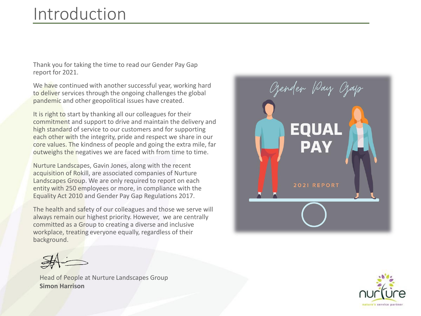## Introduction

Thank you for taking the time to read our Gender Pay Gap report for 2021.

We have continued with another successful year, working hard to deliver services through the ongoing challenges the global pandemic and other geopolitical issues have created.

It is right to start by thanking all our colleagues for their commitment and support to drive and maintain the delivery and high standard of service to our customers and for supporting each other with the integrity, pride and respect we share in our core values. The kindness of people and going the extra mile, far outweighs the negatives we are faced with from time to time.

Nurture Landscapes, Gavin Jones, along with the recent acquisition of Rokill, are associated companies of Nurture Landscapes Group. We are only required to report on each entity with 250 employees or more, in compliance with the Equality Act 2010 and Gender Pay Gap Regulations 2017.

The health and safety of our colleagues and those we serve will always remain our highest priority. However, we are centrally committed as a Group to creating a diverse and inclusive workplace, treating everyone equally, regardless of their background.

Ozender Pay Ozayr **EQUAL PAY** 2021 REPORT



Head of People at Nurture Landscapes Group **Simon Harrison**

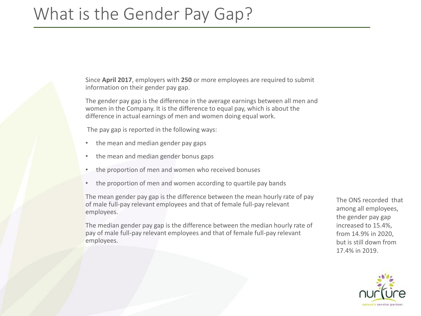### What is the Gender Pay Gap?

Since **April 2017**, employers with **250** or more employees are required to submit information on their gender pay gap.

The gender pay gap is the difference in the average earnings between all men and women in the Company. It is the difference to equal pay, which is about the difference in actual earnings of men and women doing equal work.

The pay gap is reported in the following ways:

- the mean and median gender pay gaps
- the mean and median gender bonus gaps
- the proportion of men and women who received bonuses
- the proportion of men and women according to quartile pay bands

The mean gender pay gap is the difference between the mean hourly rate of pay of male full-pay relevant employees and that of female full-pay relevant employees.

The median gender pay gap is the difference between the median hourly rate of pay of male full-pay relevant employees and that of female full-pay relevant employees.

The ONS recorded that among all employees, the gender pay gap increased to 15.4%, from 14.9% in 2020, but is still down from 17.4% in 2019.

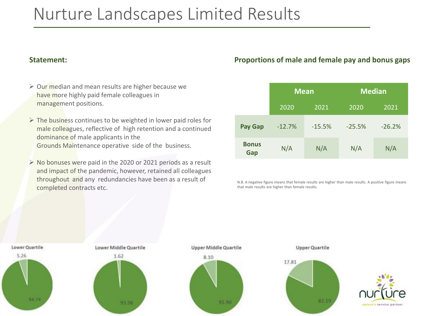### Nurture Landscapes Limited Results

### **Statement:**

- ➢ Our median and mean results are higher because we have more highly paid female colleagues in management positions.
- $\triangleright$  The business continues to be weighted in lower paid roles for male colleagues, reflective of high retention and a continued dominance of male applicants in the Grounds Maintenance operative side of the business.
- ➢ No bonuses were paid in the 2020 or 2021 periods as a result and impact of the pandemic, however, retained all colleagues throughout and any redundancies have been as a result of completed contracts etc.

### **Proportions of male and female pay and bonus gaps**

|                     | <b>Mean</b> |          | <b>Median</b> |          |
|---------------------|-------------|----------|---------------|----------|
|                     | 2020        | 2021     | 2020          | 2021     |
| <b>Pay Gap</b>      | $-12.7%$    | $-15.5%$ | $-25.5%$      | $-26.2%$ |
| <b>Bonus</b><br>Gap | N/A         | N/A      | N/A           | N/A      |

N.B. A negative figure means that female results are higher than male results. A positive figure means that male results are higher than female results.

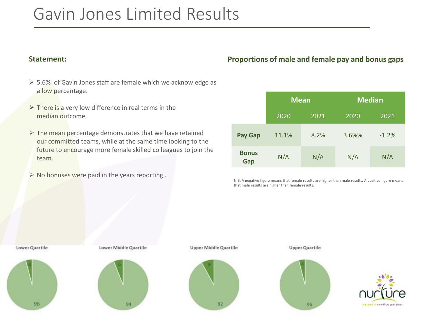### Gavin Jones Limited Results

- ➢ 5.6% of Gavin Jones staff are female which we acknowledge as a low percentage.
- $\triangleright$  There is a very low difference in real terms in the median outcome.
- $\triangleright$  The mean percentage demonstrates that we have retained our committed teams, while at the same time looking to the future to encourage more female skilled colleagues to join the team.
- ➢ No bonuses were paid in the years reporting .

### **Statement: Proportions of male and female pay and bonus gaps**

|                     | Mean  |      | <b>Median</b> |         |
|---------------------|-------|------|---------------|---------|
|                     | 2020  | 2021 | 2020          | 2021    |
| <b>Pay Gap</b>      | 11.1% | 8.2% | 3.6%%         | $-1.2%$ |
| <b>Bonus</b><br>Gap | N/A   | N/A  | N/A           | N/A     |

N.B. A negative figure means that female results are higher than male results. A positive figure means that male results are higher than female results.



**Upper Middle Quartile** 



**Upper Quartile**